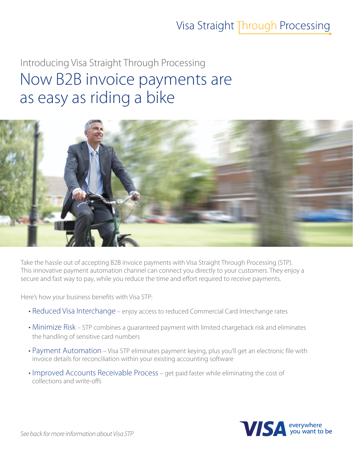### Visa Straight Through Processing

# Introducing Visa Straight Through Processing Now B2B invoice payments are as easy as riding a bike



Take the hassle out of accepting B2B invoice payments with Visa Straight Through Processing (STP). This innovative payment automation channel can connect you directly to your customers. They enjoy a secure and fast way to pay, while you reduce the time and effort required to receive payments.

Here's how your business benefits with Visa STP:

- Reduced Visa Interchange enjoy access to reduced Commercial Card Interchange rates
- Minimize Risk STP combines a quaranteed payment with limited chargeback risk and eliminates the handling of sensitive card numbers
- Payment Automation Visa STP eliminates payment keying, plus you'll get an electronic file with invoice details for reconciliation within your existing accounting software
- Improved Accounts Receivable Process get paid faster while eliminating the cost of collections and write-offs